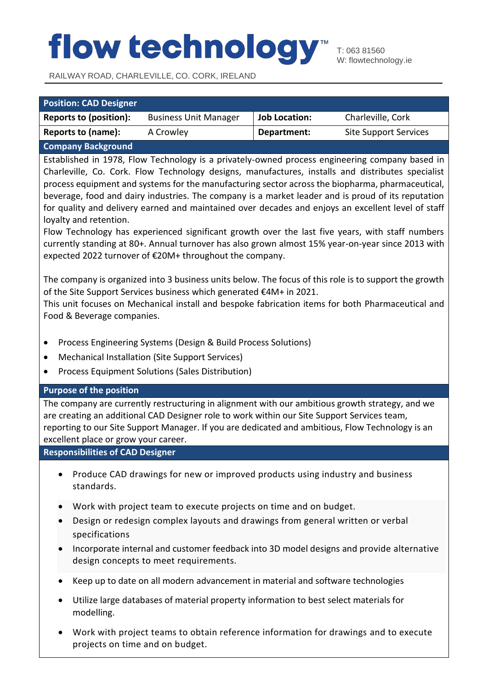RAILWAY ROAD, CHARLEVILLE, CO. CORK, IRELAND

| <b>Position: CAD Designer</b>  |                              |                      |                              |
|--------------------------------|------------------------------|----------------------|------------------------------|
| <b>Reports to (position):</b>  | <b>Business Unit Manager</b> | <b>Job Location:</b> | Charleville, Cork            |
| Reports to (name):             | A Crowley                    | Department:          | <b>Site Support Services</b> |
| Communication Distribution and |                              |                      |                              |

**Company Background**

Established in 1978, Flow Technology is a privately-owned process engineering company based in Charleville, Co. Cork. Flow Technology designs, manufactures, installs and distributes specialist process equipment and systems for the manufacturing sector across the biopharma, pharmaceutical, beverage, food and dairy industries. The company is a market leader and is proud of its reputation for quality and delivery earned and maintained over decades and enjoys an excellent level of staff loyalty and retention.

Flow Technology has experienced significant growth over the last five years, with staff numbers currently standing at 80+. Annual turnover has also grown almost 15% year-on-year since 2013 with expected 2022 turnover of €20M+ throughout the company.

The company is organized into 3 business units below. The focus of this role is to support the growth of the Site Support Services business which generated €4M+ in 2021.

This unit focuses on Mechanical install and bespoke fabrication items for both Pharmaceutical and Food & Beverage companies.

- Process Engineering Systems (Design & Build Process Solutions)
- Mechanical Installation (Site Support Services)
- Process Equipment Solutions (Sales Distribution)

### **Purpose of the position**

The company are currently restructuring in alignment with our ambitious growth strategy, and we are creating an additional CAD Designer role to work within our Site Support Services team, reporting to our Site Support Manager. If you are dedicated and ambitious, Flow Technology is an excellent place or grow your career.

**Responsibilities of CAD Designer**

- Produce CAD drawings for new or improved products using industry and business standards.
- Work with project team to execute projects on time and on budget.
- Design or redesign complex layouts and drawings from general written or verbal specifications
- Incorporate internal and customer feedback into 3D model designs and provide alternative design concepts to meet requirements.
- Keep up to date on all modern advancement in material and software technologies
- Utilize large databases of material property information to best select materials for modelling.
- Work with project teams to obtain reference information for drawings and to execute projects on time and on budget.